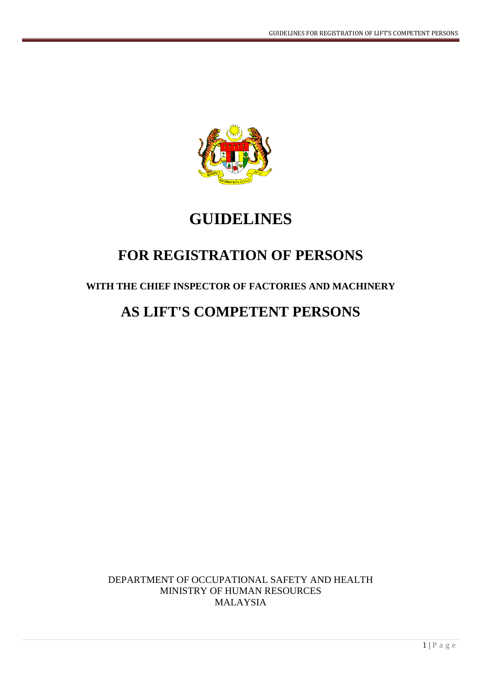

# **GUIDELINES**

# **FOR REGISTRATION OF PERSONS**

# **WITH THE CHIEF INSPECTOR OF FACTORIES AND MACHINERY**

# **AS LIFT'S COMPETENT PERSONS**

DEPARTMENT OF OCCUPATIONAL SAFETY AND HEALTH MINISTRY OF HUMAN RESOURCES MALAYSIA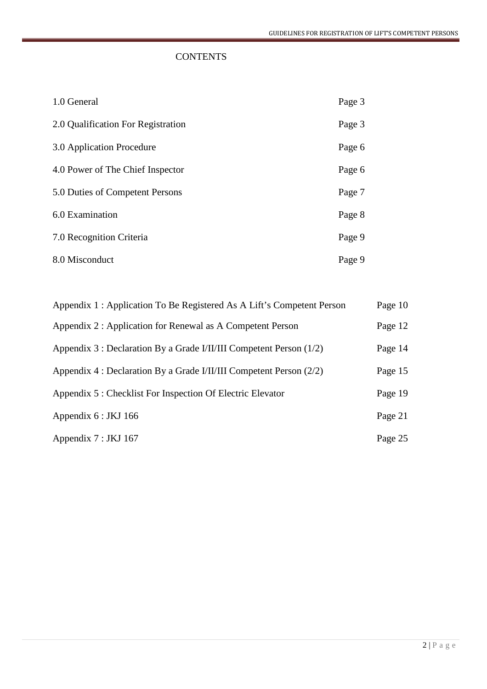# **CONTENTS**

| 1.0 General                        | Page 3 |
|------------------------------------|--------|
| 2.0 Qualification For Registration | Page 3 |
| 3.0 Application Procedure          | Page 6 |
| 4.0 Power of The Chief Inspector   | Page 6 |
| 5.0 Duties of Competent Persons    | Page 7 |
| 6.0 Examination                    | Page 8 |
| 7.0 Recognition Criteria           | Page 9 |
| 8.0 Misconduct                     | Page 9 |

| Appendix 1 : Application To Be Registered As A Lift's Competent Person | Page 10 |
|------------------------------------------------------------------------|---------|
| Appendix 2 : Application for Renewal as A Competent Person             | Page 12 |
| Appendix 3 : Declaration By a Grade I/II/III Competent Person (1/2)    | Page 14 |
| Appendix 4 : Declaration By a Grade I/II/III Competent Person (2/2)    | Page 15 |
| Appendix 5 : Checklist For Inspection Of Electric Elevator             | Page 19 |
| Appendix $6:$ JKJ 166                                                  | Page 21 |
| Appendix 7 : JKJ 167                                                   | Page 25 |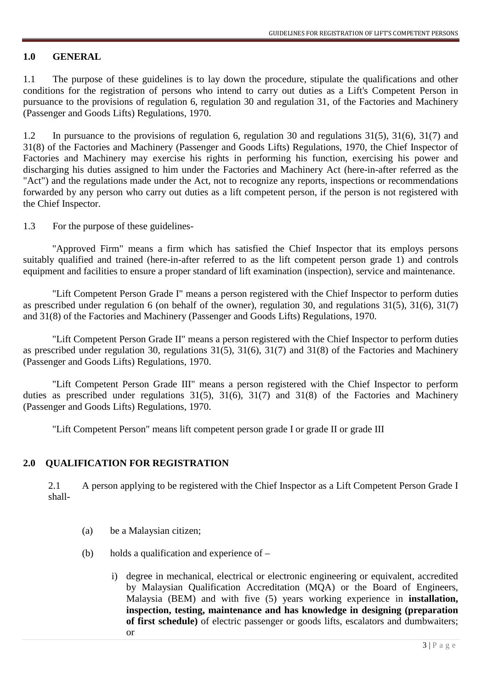# **1.0 GENERAL**

1.1 The purpose of these guidelines is to lay down the procedure, stipulate the qualifications and other conditions for the registration of persons who intend to carry out duties as a Lift's Competent Person in pursuance to the provisions of regulation 6, regulation 30 and regulation 31, of the Factories and Machinery (Passenger and Goods Lifts) Regulations, 1970.

1.2 In pursuance to the provisions of regulation 6, regulation 30 and regulations 31(5), 31(6), 31(7) and 31(8) of the Factories and Machinery (Passenger and Goods Lifts) Regulations, 1970, the Chief Inspector of Factories and Machinery may exercise his rights in performing his function, exercising his power and discharging his duties assigned to him under the Factories and Machinery Act (here-in-after referred as the "Act") and the regulations made under the Act, not to recognize any reports, inspections or recommendations forwarded by any person who carry out duties as a lift competent person, if the person is not registered with the Chief Inspector.

1.3 For the purpose of these guidelines-

"Approved Firm" means a firm which has satisfied the Chief Inspector that its employs persons suitably qualified and trained (here-in-after referred to as the lift competent person grade 1) and controls equipment and facilities to ensure a proper standard of lift examination (inspection), service and maintenance.

"Lift Competent Person Grade I" means a person registered with the Chief Inspector to perform duties as prescribed under regulation 6 (on behalf of the owner), regulation 30, and regulations 31(5), 31(6), 31(7) and 31(8) of the Factories and Machinery (Passenger and Goods Lifts) Regulations, 1970.

"Lift Competent Person Grade II" means a person registered with the Chief Inspector to perform duties as prescribed under regulation 30, regulations 31(5), 31(6), 31(7) and 31(8) of the Factories and Machinery (Passenger and Goods Lifts) Regulations, 1970.

"Lift Competent Person Grade III" means a person registered with the Chief Inspector to perform duties as prescribed under regulations  $31(5)$ ,  $31(6)$ ,  $31(7)$  and  $31(8)$  of the Factories and Machinery (Passenger and Goods Lifts) Regulations, 1970.

"Lift Competent Person" means lift competent person grade I or grade II or grade III

# **2.0 QUALIFICATION FOR REGISTRATION**

2.1 A person applying to be registered with the Chief Inspector as a Lift Competent Person Grade I shall-

- (a) be a Malaysian citizen;
- (b) holds a qualification and experience of  $$ 
	- i) degree in mechanical, electrical or electronic engineering or equivalent, accredited by Malaysian Qualification Accreditation (MQA) or the Board of Engineers, Malaysia (BEM) and with five (5) years working experience in **installation, inspection, testing, maintenance and has knowledge in designing (preparation of first schedule)** of electric passenger or goods lifts, escalators and dumbwaiters; or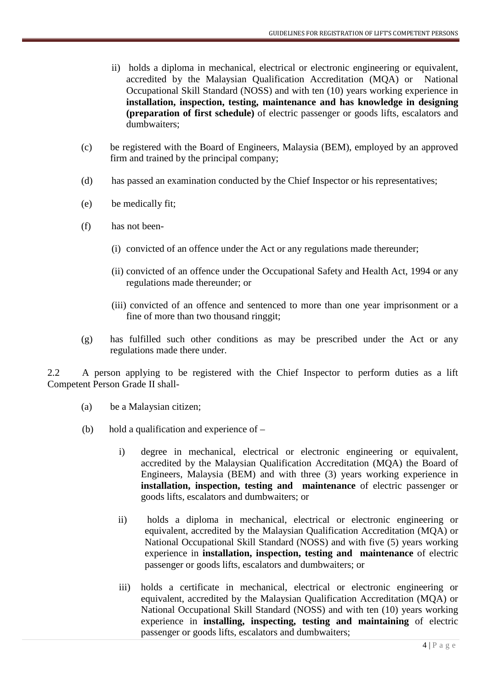- ii) holds a diploma in mechanical, electrical or electronic engineering or equivalent, accredited by the Malaysian Qualification Accreditation (MQA) or National Occupational Skill Standard (NOSS) and with ten (10) years working experience in **installation, inspection, testing, maintenance and has knowledge in designing (preparation of first schedule)** of electric passenger or goods lifts, escalators and dumbwaiters;
- (c) be registered with the Board of Engineers, Malaysia (BEM), employed by an approved firm and trained by the principal company;
- (d) has passed an examination conducted by the Chief Inspector or his representatives;
- (e) be medically fit;
- (f) has not been-
	- (i) convicted of an offence under the Act or any regulations made thereunder;
	- (ii) convicted of an offence under the Occupational Safety and Health Act, 1994 or any regulations made thereunder; or
	- (iii) convicted of an offence and sentenced to more than one year imprisonment or a fine of more than two thousand ringgit;
- (g) has fulfilled such other conditions as may be prescribed under the Act or any regulations made there under.

2.2 A person applying to be registered with the Chief Inspector to perform duties as a lift Competent Person Grade II shall-

- (a) be a Malaysian citizen;
- (b) hold a qualification and experience of
	- i) degree in mechanical, electrical or electronic engineering or equivalent, accredited by the Malaysian Qualification Accreditation (MQA) the Board of Engineers, Malaysia (BEM) and with three (3) years working experience in **installation, inspection, testing and maintenance** of electric passenger or goods lifts, escalators and dumbwaiters; or
	- ii) holds a diploma in mechanical, electrical or electronic engineering or equivalent, accredited by the Malaysian Qualification Accreditation (MQA) or National Occupational Skill Standard (NOSS) and with five (5) years working experience in **installation, inspection, testing and maintenance** of electric passenger or goods lifts, escalators and dumbwaiters; or
	- iii) holds a certificate in mechanical, electrical or electronic engineering or equivalent, accredited by the Malaysian Qualification Accreditation (MQA) or National Occupational Skill Standard (NOSS) and with ten (10) years working experience in **installing, inspecting, testing and maintaining** of electric passenger or goods lifts, escalators and dumbwaiters;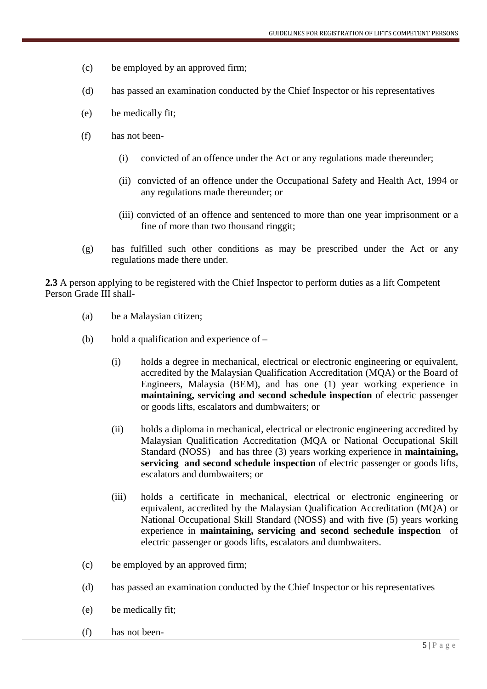- (c) be employed by an approved firm;
- (d) has passed an examination conducted by the Chief Inspector or his representatives
- (e) be medically fit;
- (f) has not been-
	- (i) convicted of an offence under the Act or any regulations made thereunder;
	- (ii) convicted of an offence under the Occupational Safety and Health Act, 1994 or any regulations made thereunder; or
	- (iii) convicted of an offence and sentenced to more than one year imprisonment or a fine of more than two thousand ringgit;
- (g) has fulfilled such other conditions as may be prescribed under the Act or any regulations made there under.

**2.3** A person applying to be registered with the Chief Inspector to perform duties as a lift Competent Person Grade III shall-

- (a) be a Malaysian citizen;
- (b) hold a qualification and experience of
	- (i) holds a degree in mechanical, electrical or electronic engineering or equivalent, accredited by the Malaysian Qualification Accreditation (MQA) or the Board of Engineers, Malaysia (BEM), and has one (1) year working experience in **maintaining, servicing and second schedule inspection** of electric passenger or goods lifts, escalators and dumbwaiters; or
	- (ii) holds a diploma in mechanical, electrical or electronic engineering accredited by Malaysian Qualification Accreditation (MQA or National Occupational Skill Standard (NOSS) and has three (3) years working experience in **maintaining, servicing and second schedule inspection** of electric passenger or goods lifts, escalators and dumbwaiters; or
	- (iii) holds a certificate in mechanical, electrical or electronic engineering or equivalent, accredited by the Malaysian Qualification Accreditation (MQA) or National Occupational Skill Standard (NOSS) and with five (5) years working experience in **maintaining, servicing and second sechedule inspection** of electric passenger or goods lifts, escalators and dumbwaiters.
- (c) be employed by an approved firm;
- (d) has passed an examination conducted by the Chief Inspector or his representatives
- (e) be medically fit;
- (f) has not been-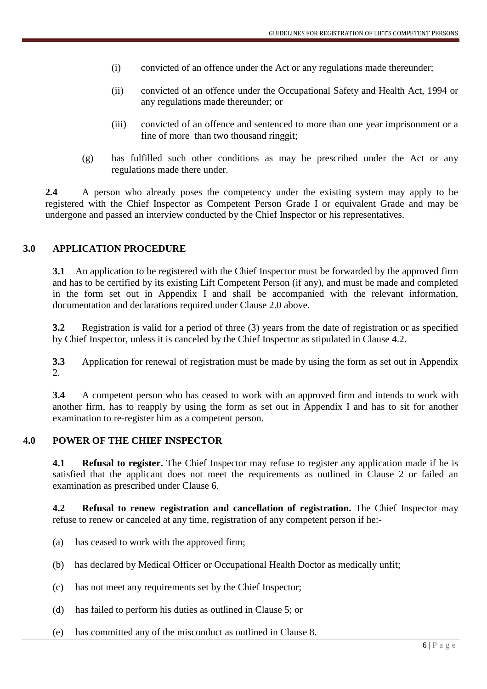- (i) convicted of an offence under the Act or any regulations made thereunder;
- (ii) convicted of an offence under the Occupational Safety and Health Act, 1994 or any regulations made thereunder; or
- (iii) convicted of an offence and sentenced to more than one year imprisonment or a fine of more than two thousand ringgit;
- (g) has fulfilled such other conditions as may be prescribed under the Act or any regulations made there under.

**2.4** A person who already poses the competency under the existing system may apply to be registered with the Chief Inspector as Competent Person Grade I or equivalent Grade and may be undergone and passed an interview conducted by the Chief Inspector or his representatives.

# **3.0 APPLICATION PROCEDURE**

**3.1** An application to be registered with the Chief Inspector must be forwarded by the approved firm and has to be certified by its existing Lift Competent Person (if any), and must be made and completed in the form set out in Appendix I and shall be accompanied with the relevant information, documentation and declarations required under Clause 2.0 above.

**3.2** Registration is valid for a period of three (3) years from the date of registration or as specified by Chief Inspector, unless it is canceled by the Chief Inspector as stipulated in Clause 4.2.

**3.3** Application for renewal of registration must be made by using the form as set out in Appendix 2.

**3.4** A competent person who has ceased to work with an approved firm and intends to work with another firm, has to reapply by using the form as set out in Appendix I and has to sit for another examination to re-register him as a competent person.

# **4.0 POWER OF THE CHIEF INSPECTOR**

**4.1** Refusal to register. The Chief Inspector may refuse to register any application made if he is satisfied that the applicant does not meet the requirements as outlined in Clause 2 or failed an examination as prescribed under Clause 6.

**4.2 Refusal to renew registration and cancellation of registration.** The Chief Inspector may refuse to renew or canceled at any time, registration of any competent person if he:-

- (a) has ceased to work with the approved firm;
- (b) has declared by Medical Officer or Occupational Health Doctor as medically unfit;
- (c) has not meet any requirements set by the Chief Inspector;
- (d) has failed to perform his duties as outlined in Clause 5; or
- (e) has committed any of the misconduct as outlined in Clause 8.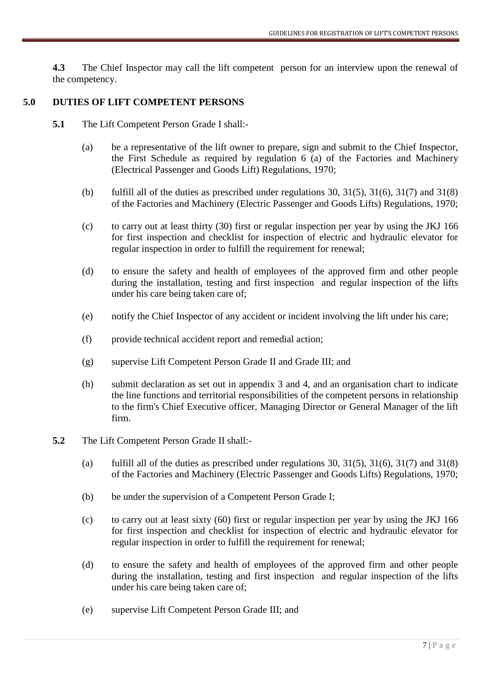**4.3** The Chief Inspector may call the lift competent person for an interview upon the renewal of the competency.

### **5.0 DUTIES OF LIFT COMPETENT PERSONS**

- **5.1** The Lift Competent Person Grade I shall:-
	- (a) be a representative of the lift owner to prepare, sign and submit to the Chief Inspector, the First Schedule as required by regulation 6 (a) of the Factories and Machinery (Electrical Passenger and Goods Lift) Regulations, 1970;
	- (b) fulfill all of the duties as prescribed under regulations 30,  $31(5)$ ,  $31(6)$ ,  $31(7)$  and  $31(8)$ of the Factories and Machinery (Electric Passenger and Goods Lifts) Regulations, 1970;
	- (c) to carry out at least thirty (30) first or regular inspection per year by using the JKJ 166 for first inspection and checklist for inspection of electric and hydraulic elevator for regular inspection in order to fulfill the requirement for renewal;
	- (d) to ensure the safety and health of employees of the approved firm and other people during the installation, testing and first inspection and regular inspection of the lifts under his care being taken care of;
	- (e) notify the Chief Inspector of any accident or incident involving the lift under his care;
	- (f) provide technical accident report and remedial action;
	- (g) supervise Lift Competent Person Grade II and Grade III; and
	- (h) submit declaration as set out in appendix 3 and 4, and an organisation chart to indicate the line functions and territorial responsibilities of the competent persons in relationship to the firm's Chief Executive officer, Managing Director or General Manager of the lift firm.
- **5.2** The Lift Competent Person Grade II shall:-
	- (a) fulfill all of the duties as prescribed under regulations 30,  $31(5)$ ,  $31(6)$ ,  $31(7)$  and  $31(8)$ of the Factories and Machinery (Electric Passenger and Goods Lifts) Regulations, 1970;
	- (b) be under the supervision of a Competent Person Grade I;
	- (c) to carry out at least sixty (60) first or regular inspection per year by using the JKJ 166 for first inspection and checklist for inspection of electric and hydraulic elevator for regular inspection in order to fulfill the requirement for renewal;
	- (d) to ensure the safety and health of employees of the approved firm and other people during the installation, testing and first inspection and regular inspection of the lifts under his care being taken care of;
	- (e) supervise Lift Competent Person Grade III; and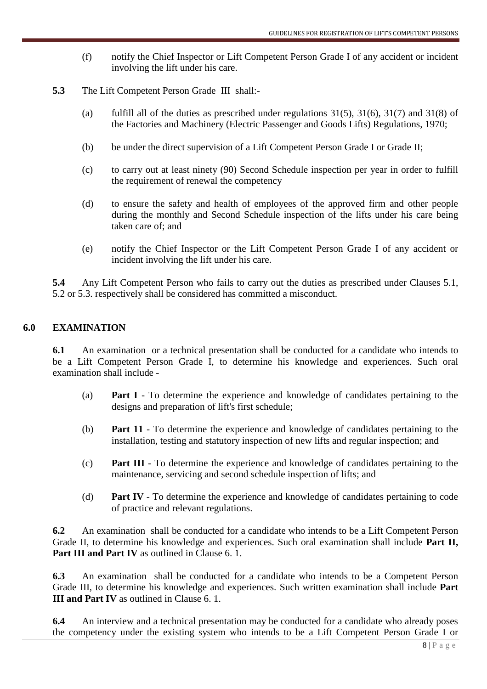- (f) notify the Chief Inspector or Lift Competent Person Grade I of any accident or incident involving the lift under his care.
- **5.3** The Lift Competent Person Grade III shall:-
	- (a) fulfill all of the duties as prescribed under regulations  $31(5)$ ,  $31(6)$ ,  $31(7)$  and  $31(8)$  of the Factories and Machinery (Electric Passenger and Goods Lifts) Regulations, 1970;
	- (b) be under the direct supervision of a Lift Competent Person Grade I or Grade II;
	- (c) to carry out at least ninety (90) Second Schedule inspection per year in order to fulfill the requirement of renewal the competency
	- (d) to ensure the safety and health of employees of the approved firm and other people during the monthly and Second Schedule inspection of the lifts under his care being taken care of; and
	- (e) notify the Chief Inspector or the Lift Competent Person Grade I of any accident or incident involving the lift under his care.

**5.4** Any Lift Competent Person who fails to carry out the duties as prescribed under Clauses 5.1, 5.2 or 5.3. respectively shall be considered has committed a misconduct.

# **6.0 EXAMINATION**

**6.1** An examination or a technical presentation shall be conducted for a candidate who intends to be a Lift Competent Person Grade I, to determine his knowledge and experiences. Such oral examination shall include -

- (a) **Part I**  To determine the experience and knowledge of candidates pertaining to the designs and preparation of lift's first schedule;
- (b) **Part 11**  To determine the experience and knowledge of candidates pertaining to the installation, testing and statutory inspection of new lifts and regular inspection; and
- (c) **Part III**  To determine the experience and knowledge of candidates pertaining to the maintenance, servicing and second schedule inspection of lifts; and
- (d) **Part IV** To determine the experience and knowledge of candidates pertaining to code of practice and relevant regulations.

**6.2** An examination shall be conducted for a candidate who intends to be a Lift Competent Person Grade II, to determine his knowledge and experiences. Such oral examination shall include **Part II, Part III and Part IV** as outlined in Clause 6. 1.

**6.3** An examination shall be conducted for a candidate who intends to be a Competent Person Grade III, to determine his knowledge and experiences. Such written examination shall include **Part III and Part IV** as outlined in Clause 6. 1.

**6.4** An interview and a technical presentation may be conducted for a candidate who already poses the competency under the existing system who intends to be a Lift Competent Person Grade I or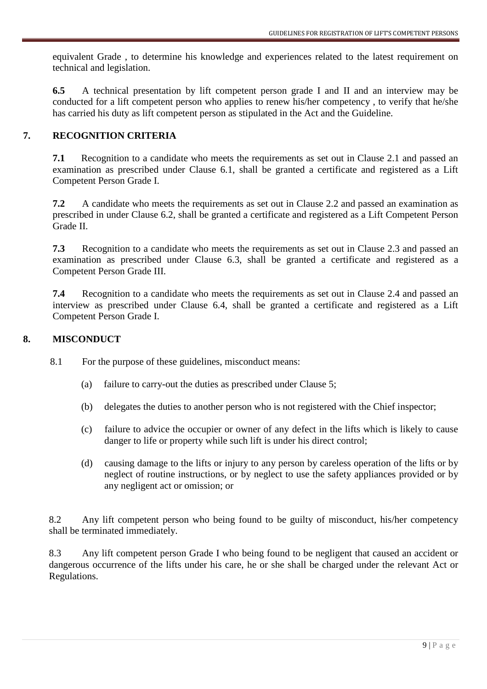equivalent Grade , to determine his knowledge and experiences related to the latest requirement on technical and legislation.

**6.5** A technical presentation by lift competent person grade I and II and an interview may be conducted for a lift competent person who applies to renew his/her competency , to verify that he/she has carried his duty as lift competent person as stipulated in the Act and the Guideline.

# **7. RECOGNITION CRITERIA**

**7.1** Recognition to a candidate who meets the requirements as set out in Clause 2.1 and passed an examination as prescribed under Clause 6.1, shall be granted a certificate and registered as a Lift Competent Person Grade I.

**7.2** A candidate who meets the requirements as set out in Clause 2.2 and passed an examination as prescribed in under Clause 6.2, shall be granted a certificate and registered as a Lift Competent Person Grade II.

**7.3** Recognition to a candidate who meets the requirements as set out in Clause 2.3 and passed an examination as prescribed under Clause 6.3, shall be granted a certificate and registered as a Competent Person Grade III.

**7.4** Recognition to a candidate who meets the requirements as set out in Clause 2.4 and passed an interview as prescribed under Clause 6.4, shall be granted a certificate and registered as a Lift Competent Person Grade I.

# **8. MISCONDUCT**

8.1 For the purpose of these guidelines, misconduct means:

- (a) failure to carry-out the duties as prescribed under Clause 5;
- (b) delegates the duties to another person who is not registered with the Chief inspector;
- (c) failure to advice the occupier or owner of any defect in the lifts which is likely to cause danger to life or property while such lift is under his direct control;
- (d) causing damage to the lifts or injury to any person by careless operation of the lifts or by neglect of routine instructions, or by neglect to use the safety appliances provided or by any negligent act or omission; or

8.2 Any lift competent person who being found to be guilty of misconduct, his/her competency shall be terminated immediately.

8.3 Any lift competent person Grade I who being found to be negligent that caused an accident or dangerous occurrence of the lifts under his care, he or she shall be charged under the relevant Act or Regulations.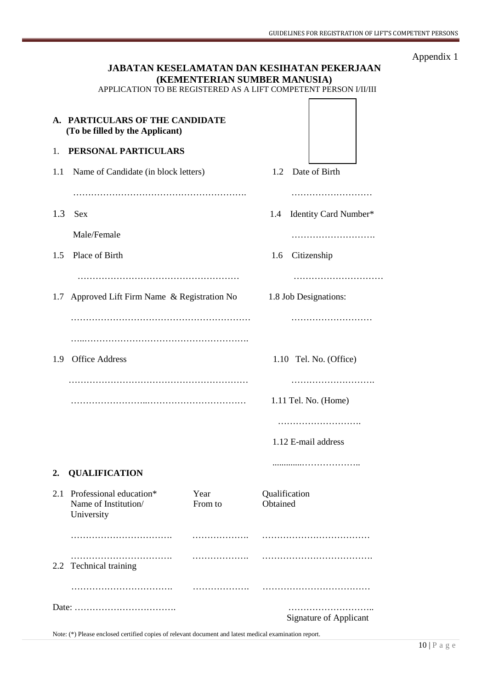|     |                                                                    |                              |                           | GUIDELINES FOR REGISTRATION OF LIFT                                                                             |
|-----|--------------------------------------------------------------------|------------------------------|---------------------------|-----------------------------------------------------------------------------------------------------------------|
|     |                                                                    | (KEMENTERIAN SUMBER MANUSIA) |                           | JABATAN KESELAMATAN DAN KESIHATAN PEKERJAAN<br>APPLICATION TO BE REGISTERED AS A LIFT COMPETENT PERSON I/II/III |
|     | A. PARTICULARS OF THE CANDIDATE<br>(To be filled by the Applicant) |                              |                           |                                                                                                                 |
| 1.  | PERSONAL PARTICULARS                                               |                              |                           |                                                                                                                 |
| 1.1 | Name of Candidate (in block letters)                               |                              |                           | 1.2 Date of Birth                                                                                               |
|     |                                                                    |                              |                           |                                                                                                                 |
| 1.3 | Sex                                                                |                              | 1.4                       | Identity Card Number*                                                                                           |
|     | Male/Female                                                        |                              |                           | .                                                                                                               |
| 1.5 | Place of Birth                                                     |                              | 1.6                       | Citizenship                                                                                                     |
|     |                                                                    |                              |                           |                                                                                                                 |
|     | 1.7 Approved Lift Firm Name & Registration No                      |                              |                           | 1.8 Job Designations:                                                                                           |
|     |                                                                    |                              |                           |                                                                                                                 |
|     |                                                                    |                              |                           |                                                                                                                 |
| 1.9 | <b>Office Address</b>                                              |                              |                           | 1.10 Tel. No. (Office)                                                                                          |
|     |                                                                    |                              |                           |                                                                                                                 |
|     |                                                                    |                              |                           | 1.11 Tel. No. (Home)                                                                                            |
|     |                                                                    |                              |                           |                                                                                                                 |
|     |                                                                    |                              |                           | 1.12 E-mail address                                                                                             |
| 2.  | <b>QUALIFICATION</b>                                               |                              |                           |                                                                                                                 |
| 2.1 | Professional education*<br>Name of Institution/<br>University      | Year<br>From to              | Qualification<br>Obtained |                                                                                                                 |
|     |                                                                    |                              |                           |                                                                                                                 |
|     | .<br>2.2 Technical training                                        | .                            |                           |                                                                                                                 |
|     |                                                                    |                              |                           |                                                                                                                 |

Date: ……………………………. ……………………….. Signature of Applicant

Note: (\*) Please enclosed certified copies of relevant document and latest medical examination report.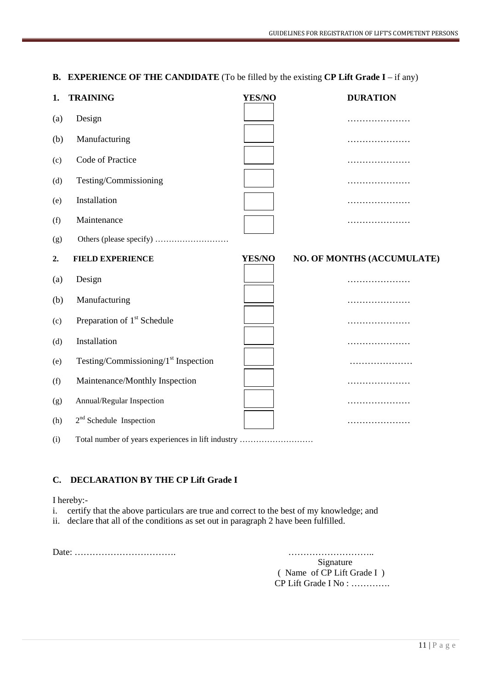**B. EXPERIENCE OF THE CANDIDATE** (To be filled by the existing **CP Lift Grade I** – if any)

| 1.  | <b>TRAINING</b>                         | YES/NO | <b>DURATION</b>            |
|-----|-----------------------------------------|--------|----------------------------|
| (a) | Design                                  |        | .                          |
| (b) | Manufacturing                           |        | .                          |
| (c) | Code of Practice                        |        |                            |
| (d) | Testing/Commissioning                   |        | .                          |
| (e) | Installation                            |        | .                          |
| (f) | Maintenance                             |        |                            |
| (g) |                                         |        |                            |
| 2.  | <b>FIELD EXPERIENCE</b>                 | YES/NO | NO. OF MONTHS (ACCUMULATE) |
| (a) | Design                                  |        | .                          |
| (b) | Manufacturing                           |        | .                          |
| (c) | Preparation of 1 <sup>st</sup> Schedule |        |                            |
| (d) | Installation                            |        | .                          |
| (e) | Testing/Commissioning/ $1st$ Inspection |        | .                          |
| (f) | Maintenance/Monthly Inspection          |        | .                          |
| (g) | Annual/Regular Inspection               |        | .                          |
|     |                                         |        |                            |
| (h) | $2nd$ Schedule Inspection               |        | .                          |

# **C. DECLARATION BY THE CP Lift Grade I**

#### I hereby:-

- i. certify that the above particulars are true and correct to the best of my knowledge; and
- ii. declare that all of the conditions as set out in paragraph 2 have been fulfilled.

Date: ……………………………. ………………………..

Signature ( Name of CP Lift Grade I ) CP Lift Grade I No : ………….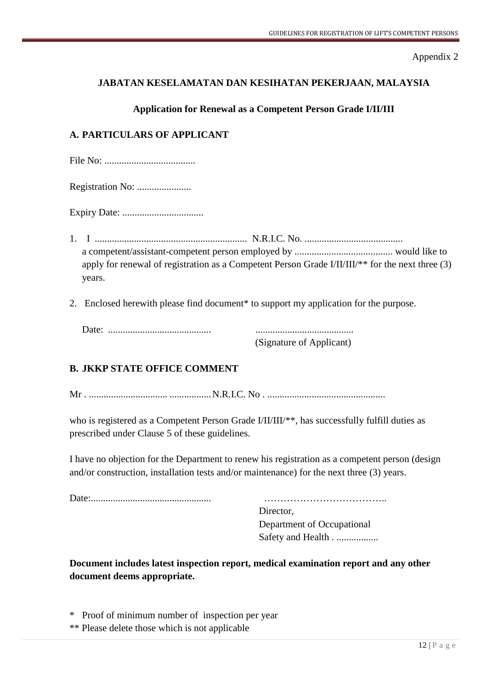# **JABATAN KESELAMATAN DAN KESIHATAN PEKERJAAN, MALAYSIA**

# **Application for Renewal as a Competent Person Grade I/II/III**

# **A. PARTICULARS OF APPLICANT**

|--|--|

Registration No: ......................

Expiry Date: .................................

- 1. I .............................................................. N.R.I.C. No. ........................................ a competent/assistant-competent person employed by ........................................ would like to apply for renewal of registration as a Competent Person Grade I/II/III/\*\* for the next three (3) years.
- 2. Enclosed herewith please find document\* to support my application for the purpose.

(Signature of Applicant)

# **B. JKKP STATE OFFICE COMMENT**

Mr . ................................ ................. N.R.I.C. No . ................................................

who is registered as a Competent Person Grade I/II/III/\*\*, has successfully fulfill duties as prescribed under Clause 5 of these guidelines.

I have no objection for the Department to renew his registration as a competent person (design and/or construction, installation tests and/or maintenance) for the next three (3) years.

Date:................................................. ………………………………..

Director, Department of Occupational Safety and Health . ..................

**Document includes latest inspection report, medical examination report and any other document deems appropriate.** 

\* Proof of minimum number of inspection per year

\*\* Please delete those which is not applicable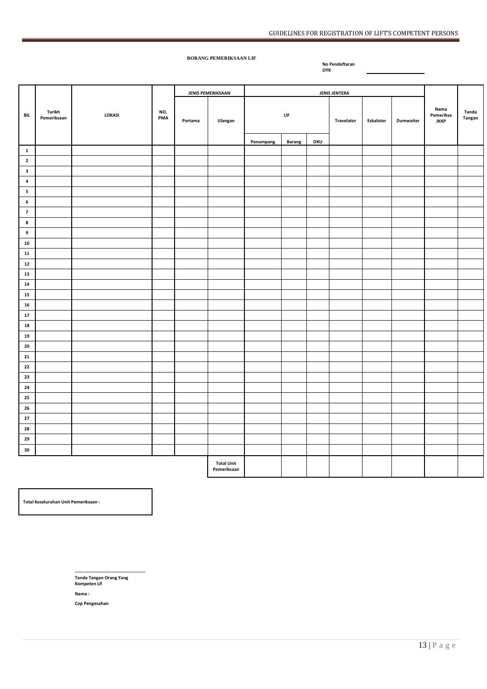#### **BORANG PEMERIKSAAN LIF**

**No Pendaftaran OYK** 

**BIL Tarikh Pemeriksaan** *LOKASI* **PMA JENIS PEMERIKSAAN JENIS JENTERA Nama Pemeriksa JKKP Tanda**  Pertama Ulangan **Pertama Ulangan Pertama Pertama Pertama Pertama Pertama Pertama Pertama Pertama Pertama Pertama LIF Travelator Eskalator Dumwaiter**  Penumpang Barang OKU **1 2 3 4 5 6 7 8 9 10 11 12 13 14 15 16 17 18 19 20 21 22 23 24 25 26 27 28 29 30 Total Unit Pemeriksaan** 

**Total Keseluruhan Unit Pemeriksaan :** 

**----------------------------------------------- Tanda Tangan Orang Yang Kompeten Lif** 

**Nama :** 

**Cop Pengesahan**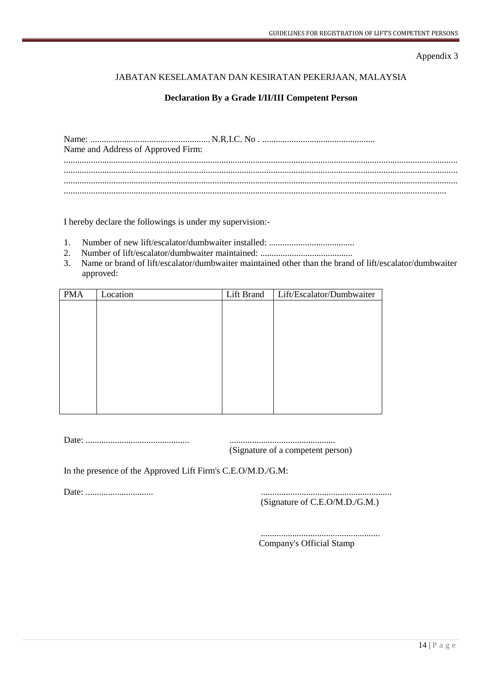### JABATAN KESELAMATAN DAN KESIRATAN PEKERJAAN, MALAYSIA

#### **Declaration By a Grade I/II/III Competent Person**

| Name and Address of Approved Firm: |  |
|------------------------------------|--|
|                                    |  |
|                                    |  |
|                                    |  |

I hereby declare the followings is under my supervision:-

- 1. Number of new lift/escalator/dumbwaiter installed: ......................................
- 2. Number of lift/escalator/dumbwaiter maintained: .........................................
- 3. Name or brand of lift/escalator/dumbwaiter maintained other than the brand of lift/escalator/dumbwaiter approved:

| <b>PMA</b> | Location | Lift Brand | Lift/Escalator/Dumbwaiter |
|------------|----------|------------|---------------------------|
|            |          |            |                           |
|            |          |            |                           |
|            |          |            |                           |
|            |          |            |                           |
|            |          |            |                           |
|            |          |            |                           |
|            |          |            |                           |
|            |          |            |                           |
|            |          |            |                           |
|            |          |            |                           |

Date: .............................................. ...............................................

(Signature of a competent person)

In the presence of the Approved Lift Firm's C.E.O/M.D./G.M:

Date: .............................. ..........................................................

(Signature of C.E.O/M.D./G.M.)

 ..................................................... Company's Official Stamp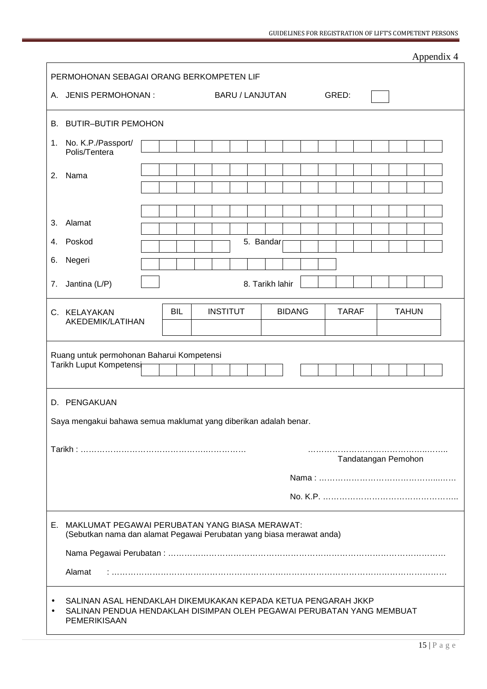|                                                                                                                           |                                                                                                                                                        |            |                        |                 |              |                     | Appendix 4 |
|---------------------------------------------------------------------------------------------------------------------------|--------------------------------------------------------------------------------------------------------------------------------------------------------|------------|------------------------|-----------------|--------------|---------------------|------------|
|                                                                                                                           | PERMOHONAN SEBAGAI ORANG BERKOMPETEN LIF                                                                                                               |            |                        |                 |              |                     |            |
|                                                                                                                           | A. JENIS PERMOHONAN :                                                                                                                                  |            | <b>BARU / LANJUTAN</b> |                 | GRED:        |                     |            |
| В.                                                                                                                        | <b>BUTIR-BUTIR PEMOHON</b>                                                                                                                             |            |                        |                 |              |                     |            |
| 1.                                                                                                                        | No. K.P./Passport/<br>Polis/Tentera                                                                                                                    |            |                        |                 |              |                     |            |
| 2.                                                                                                                        | Nama                                                                                                                                                   |            |                        |                 |              |                     |            |
|                                                                                                                           |                                                                                                                                                        |            |                        |                 |              |                     |            |
| 3.                                                                                                                        | Alamat                                                                                                                                                 |            |                        |                 |              |                     |            |
| 4.                                                                                                                        | Poskod                                                                                                                                                 |            |                        | 5. Bandar       |              |                     |            |
| 6.                                                                                                                        | Negeri                                                                                                                                                 |            |                        |                 |              |                     |            |
| 7.                                                                                                                        | Jantina (L/P)                                                                                                                                          |            |                        | 8. Tarikh lahir |              |                     |            |
|                                                                                                                           | C. KELAYAKAN<br>AKEDEMIK/LATIHAN                                                                                                                       | <b>BIL</b> | <b>INSTITUT</b>        | <b>BIDANG</b>   | <b>TARAF</b> | <b>TAHUN</b>        |            |
|                                                                                                                           | Ruang untuk permohonan Baharui Kompetensi<br>Tarikh Luput Kompetensi                                                                                   |            |                        |                 |              |                     |            |
| D.                                                                                                                        | PENGAKUAN                                                                                                                                              |            |                        |                 |              |                     |            |
|                                                                                                                           | Saya mengakui bahawa semua maklumat yang diberikan adalah benar.                                                                                       |            |                        |                 |              |                     |            |
|                                                                                                                           |                                                                                                                                                        |            |                        |                 |              |                     |            |
|                                                                                                                           |                                                                                                                                                        |            |                        |                 |              | Tandatangan Pemohon |            |
|                                                                                                                           |                                                                                                                                                        |            |                        |                 |              |                     |            |
|                                                                                                                           |                                                                                                                                                        |            |                        |                 |              |                     |            |
| E. MAKLUMAT PEGAWAI PERUBATAN YANG BIASA MERAWAT:<br>(Sebutkan nama dan alamat Pegawai Perubatan yang biasa merawat anda) |                                                                                                                                                        |            |                        |                 |              |                     |            |
|                                                                                                                           |                                                                                                                                                        |            |                        |                 |              |                     |            |
|                                                                                                                           | Alamat                                                                                                                                                 |            |                        |                 |              |                     |            |
|                                                                                                                           | SALINAN ASAL HENDAKLAH DIKEMUKAKAN KEPADA KETUA PENGARAH JKKP<br>SALINAN PENDUA HENDAKLAH DISIMPAN OLEH PEGAWAI PERUBATAN YANG MEMBUAT<br>PEMERIKISAAN |            |                        |                 |              |                     |            |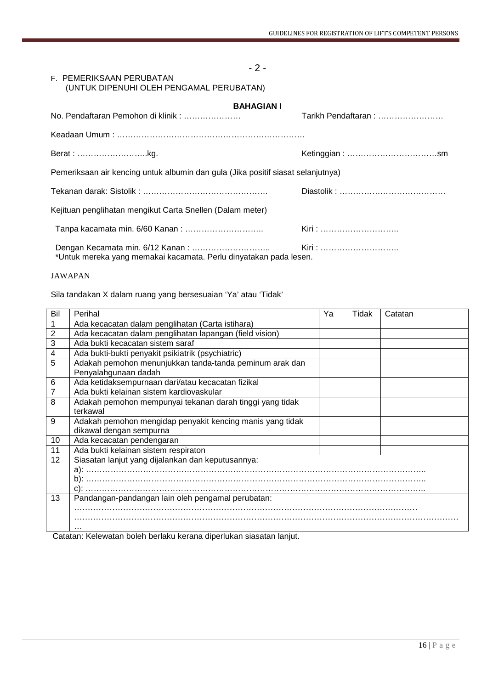#### F. PEMERIKSAAN PERUBATAN (UNTUK DIPENUHI OLEH PENGAMAL PERUBATAN)

| <b>BAHAGIAN I</b>                                                                |                     |
|----------------------------------------------------------------------------------|---------------------|
| No. Pendaftaran Pemohon di klinik:                                               | Tarikh Pendaftaran: |
|                                                                                  |                     |
| Berat: kg.                                                                       |                     |
| Pemeriksaan air kencing untuk albumin dan gula (Jika positif siasat selanjutnya) |                     |
|                                                                                  |                     |
| Kejituan penglihatan mengikut Carta Snellen (Dalam meter)                        |                     |
|                                                                                  | Kiri :              |
| *Untuk mereka yang memakai kacamata. Perlu dinyatakan pada lesen.                | Kiri :              |

 $-2-$ 

JAWAPAN

Sila tandakan X dalam ruang yang bersesuaian 'Ya' atau 'Tidak'

| Bil | Perihal                                                                         | Ya | Tidak | Catatan |
|-----|---------------------------------------------------------------------------------|----|-------|---------|
|     | Ada kecacatan dalam penglihatan (Carta istihara)                                |    |       |         |
| 2   | Ada kecacatan dalam penglihatan lapangan (field vision)                         |    |       |         |
| 3   | Ada bukti kecacatan sistem saraf                                                |    |       |         |
| 4   | Ada bukti-bukti penyakit psikiatrik (psychiatric)                               |    |       |         |
| 5   | Adakah pemohon menunjukkan tanda-tanda peminum arak dan<br>Penyalahgunaan dadah |    |       |         |
| 6   | Ada ketidaksempurnaan dari/atau kecacatan fizikal                               |    |       |         |
|     | Ada bukti kelainan sistem kardiovaskular                                        |    |       |         |
| 8   | Adakah pemohon mempunyai tekanan darah tinggi yang tidak                        |    |       |         |
|     | terkawal                                                                        |    |       |         |
| 9   | Adakah pemohon mengidap penyakit kencing manis yang tidak                       |    |       |         |
|     | dikawal dengan sempurna                                                         |    |       |         |
| 10  | Ada kecacatan pendengaran                                                       |    |       |         |
| 11  | Ada bukti kelainan sistem respiraton                                            |    |       |         |
| 12  | Siasatan lanjut yang dijalankan dan keputusannya:                               |    |       |         |
|     |                                                                                 |    |       |         |
|     |                                                                                 |    |       |         |
|     |                                                                                 |    |       |         |
| 13  | Pandangan-pandangan lain oleh pengamal perubatan:                               |    |       |         |
|     |                                                                                 |    |       |         |
|     |                                                                                 |    |       |         |
|     | $\cdot\cdot\cdot$                                                               |    |       |         |

Catatan: Kelewatan boleh berlaku kerana diperlukan siasatan lanjut.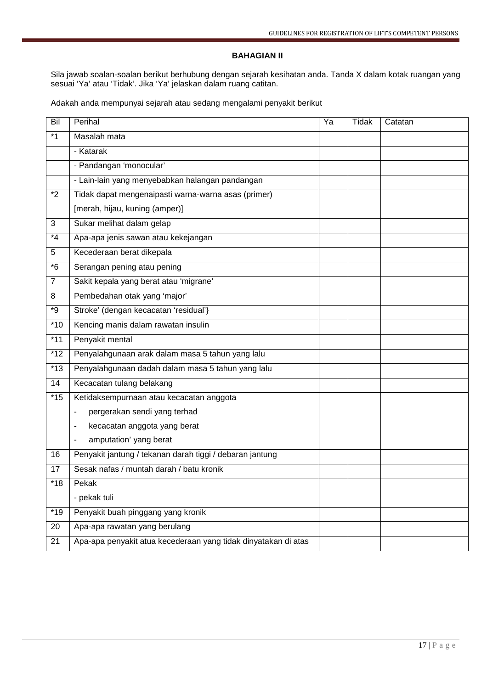#### **BAHAGIAN II**

Sila jawab soalan-soalan berikut berhubung dengan sejarah kesihatan anda. Tanda X dalam kotak ruangan yang sesuai 'Ya' atau 'Tidak'. Jika 'Ya' jelaskan dalam ruang catitan.

Adakah anda mempunyai sejarah atau sedang mengalami penyakit berikut

| Bil              | Perihal                                                        | Ya | <b>Tidak</b> | Catatan |
|------------------|----------------------------------------------------------------|----|--------------|---------|
| $*1$             | Masalah mata                                                   |    |              |         |
|                  | - Katarak                                                      |    |              |         |
|                  | - Pandangan 'monocular'                                        |    |              |         |
|                  | - Lain-lain yang menyebabkan halangan pandangan                |    |              |         |
| $*2$             | Tidak dapat mengenaipasti warna-warna asas (primer)            |    |              |         |
|                  | [merah, hijau, kuning (amper)]                                 |    |              |         |
| 3                | Sukar melihat dalam gelap                                      |    |              |         |
| $*_{4}$          | Apa-apa jenis sawan atau kekejangan                            |    |              |         |
| 5                | Kecederaan berat dikepala                                      |    |              |         |
| $*6$             | Serangan pening atau pening                                    |    |              |         |
| $\overline{7}$   | Sakit kepala yang berat atau 'migrane'                         |    |              |         |
| 8                | Pembedahan otak yang 'major'                                   |    |              |         |
| $\overline{g^*}$ | Stroke' (dengan kecacatan 'residual'}                          |    |              |         |
| $*10$            | Kencing manis dalam rawatan insulin                            |    |              |         |
| $*11$            | Penyakit mental                                                |    |              |         |
| $*12$            | Penyalahgunaan arak dalam masa 5 tahun yang lalu               |    |              |         |
| $*13$            | Penyalahgunaan dadah dalam masa 5 tahun yang lalu              |    |              |         |
| 14               | Kecacatan tulang belakang                                      |    |              |         |
| $\overline{45}$  | Ketidaksempurnaan atau kecacatan anggota                       |    |              |         |
|                  | pergerakan sendi yang terhad<br>٠                              |    |              |         |
|                  | kecacatan anggota yang berat<br>٠                              |    |              |         |
|                  | amputation' yang berat<br>$\blacksquare$                       |    |              |         |
| 16               | Penyakit jantung / tekanan darah tiggi / debaran jantung       |    |              |         |
| 17               | Sesak nafas / muntah darah / batu kronik                       |    |              |         |
| $*18$            | Pekak                                                          |    |              |         |
|                  | - pekak tuli                                                   |    |              |         |
| $*19$            | Penyakit buah pinggang yang kronik                             |    |              |         |
| 20               | Apa-apa rawatan yang berulang                                  |    |              |         |
| 21               | Apa-apa penyakit atua kecederaan yang tidak dinyatakan di atas |    |              |         |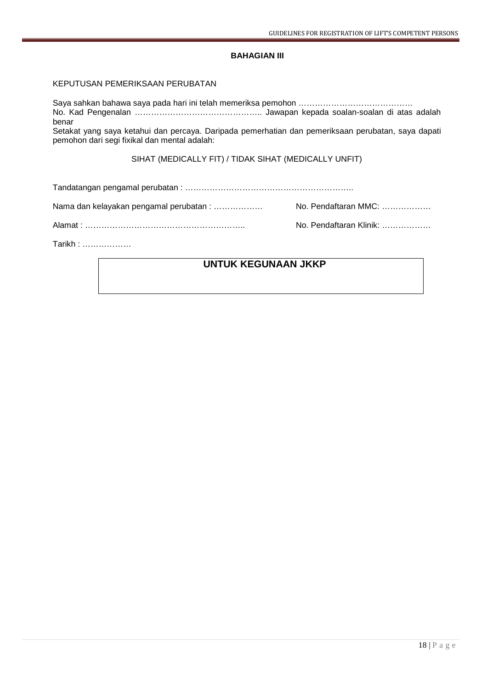#### **BAHAGIAN III**

#### KEPUTUSAN PEMERIKSAAN PERUBATAN

Saya sahkan bahawa saya pada hari ini telah memeriksa pemohon …………………………………… No. Kad Pengenalan ……………………………………….. Jawapan kepada soalan-soalan di atas adalah benar Setakat yang saya ketahui dan percaya. Daripada pemerhatian dan pemeriksaan perubatan, saya dapati pemohon dari segi fixikal dan mental adalah:

SIHAT (MEDICALLY FIT) / TIDAK SIHAT (MEDICALLY UNFIT)

Tandatangan pengamal perubatan : ……………………………………………………..

Nama dan kelayakan pengamal perubatan : ……………… No. Pendaftaran MMC: ………………

Alamat : ………………………………………………….. No. Pendaftaran Klinik: ………………

Tarikh : ………………

# **UNTUK KEGUNAAN JKKP**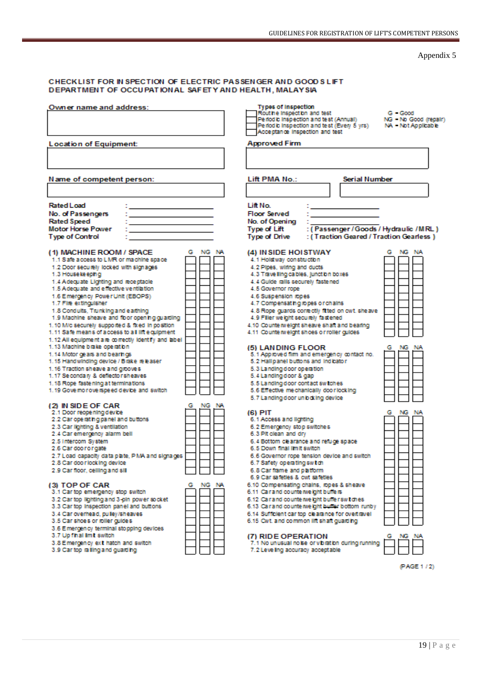#### CHECKLIST FOR IN SPECTION OF ELECTRIC PASSENGER AND GOOD SLIFT DEPARTMENT OF OCCUPATIONAL SAFETY AND HEALTH, MALAYSIA

| Owner name and address:                                                                                                                                                                                                                                                                                                                                                                                                                                          | Types of Inspection<br>Rout he inspect on and test<br>$G - Good$<br>Periodic Inspection and test (Annual)<br>NG - No Good (repair)<br>Periodic Inspection and test (Every 5 yrs)<br>NA - Not Applicable<br>Acceptance Inspection and test                                                                                                                                         |
|------------------------------------------------------------------------------------------------------------------------------------------------------------------------------------------------------------------------------------------------------------------------------------------------------------------------------------------------------------------------------------------------------------------------------------------------------------------|-----------------------------------------------------------------------------------------------------------------------------------------------------------------------------------------------------------------------------------------------------------------------------------------------------------------------------------------------------------------------------------|
| <b>Location of Equipment:</b>                                                                                                                                                                                                                                                                                                                                                                                                                                    | <b>Approved Firm</b>                                                                                                                                                                                                                                                                                                                                                              |
| Name of competent person:                                                                                                                                                                                                                                                                                                                                                                                                                                        | <b>Serial Number</b><br>Lift PMA No.:                                                                                                                                                                                                                                                                                                                                             |
| <b>Rated Load</b><br>No. of Passengers<br>Rated Speed<br><b>Motor Horse Power</b><br><b>Type of Control</b><br>(1) MACHINE ROOM / SPACE<br>G NG NA<br>1.1 S are a coess to LMR or machine space                                                                                                                                                                                                                                                                  | Lift No.<br><b>Floor Served</b><br>No. of Opening<br>: (Passenger / Goods / Hydraulic / MRL)<br>Type of Lift<br><b>Type of Drive</b><br>: (Traction Geared / Traction Gearless)<br>NG NA<br>(4) IN SIDE HOISTWAY<br>G<br>4.1 Holstway construction                                                                                                                                |
| 1.2 Door securely locked with signages<br>1.3 House keeping<br>1.4 Adequate Lighting and receptacle<br>1.5 A decuate and effective ventilation<br>1.6 Emergency Power Unit (EBOPS)<br>1.7 Fire extinguisher<br>1.8 Conduits, Trunking and earthing<br>1.9 Machine sheave and floor opening guarding<br>1.10 M/c securely supported & fixed in position<br>1.11 Safe means of access to all lift equipment<br>1.12 All equipment are correctly identify and label | 4.2 Pipes, wiring and ducts<br>4.3 Trave ling cables, junction boxes<br>4.4 Guide ralls securely fastened<br>4.5 Governor rope<br>4.6 Suspension ropes<br>4.7 Compensating ropes or chains<br>4.8 Rope quards correctly fitted on cwt. sheave<br>4.9 Filler we ight securely fastened<br>4.10 Counte weight sheave shalt and bearing<br>4.11 Counte weight shoes or roller guides |
| 1.13 Machine brake operation<br>1.14 Motor gears and bearings<br>1.15 Handwinding device / Brake releaser<br>1.16 Traction sheave and grooves<br>1.17 Secondary & deflector sheaves<br>1.18 Rope fastening at terminations<br>1.19 Governo rove rapeed device and switch                                                                                                                                                                                         | (5) LANDING FLOOR<br>NG<br>5.1 Approved film and emergency contact no.<br>5.2 Hallpanel buttons and indicator<br>5.3 Landing door operation<br>5.4 Landing door & gap<br>5.5 Landing door contact switches<br>5.6 Effective mechanically door locking<br>5.7 Landing door un bot ing device                                                                                       |
| (2) IN SIDE OF CAR<br>NG<br>2.1 Door reopening device<br>2.2 Car operating panel and buttons<br>2.3 Car lighting & ventilation<br>2.4 Car emergency alarm bell<br>2.5 Intercom System<br>2.6 Car door or gate<br>2.7 Load capacity data plate, PMA and signages<br>2.8 Car door locking device<br>2.9 Car floor, celling and sill<br>NG.                                                                                                                         | (6) PIT<br>NG<br>. NA<br>6.1 Access and lighting<br>6.2 Emergency stop switches<br>6.3 Pit clean and dry<br>6.4 Bottom clearance and refuge space<br>6.5 Down final limit switch<br>6.6 Governor rope tension device and switch<br>6.7 Safety operating switch<br>6.8 Car frame and platform<br>6.9 Car safeties & cwt safeties<br>6.10 Compensating chains, ropes & sheave       |
| (3) TOP OF CAR<br>3.1 Car top emergency stop switch<br>3.2 Car top lighting and 3-pin power socket<br>3.3 Car top Inspection panel and buttons<br>3.4 Car overhead, pulley/sheaves<br>3.5 Car shoes or roller guides<br>3.6 Emergency terminal stopping devices<br>3.7 Up fhall imit switch<br>3.8 Emergency ext hatch and switch<br>3.9 Car top railing and guarding                                                                                            | 6.11 Carand counte we ght buile is<br>6.12 Carand counterweight buller switches<br>6.13 Carand counte weight builer bottom runby<br>6.14 Sufficient car top clearance for overtravel<br>6.15 Cwt. and common lift shalt guarding<br>(7) RIDE OPERATION<br>7.1 No unusual no be or vibration during running<br>7.2 Leveling accuracy acceptable                                    |

(PAGE 1/2)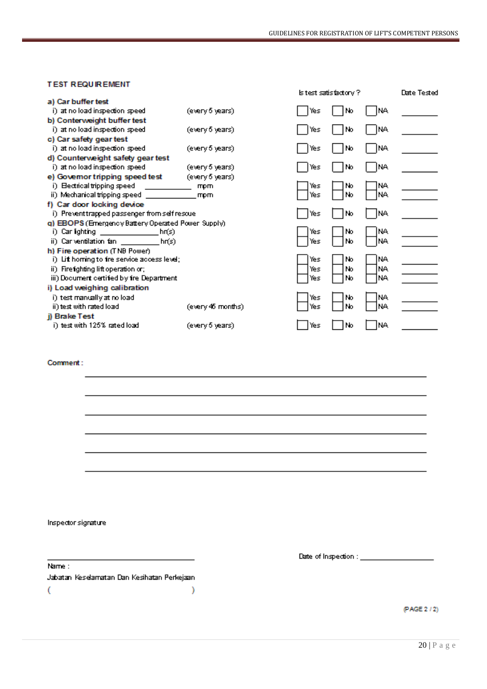#### **TEST REQUIREMENT**

|                                                    |                   |     | lstest santisfacton y? |      | Date Tested |
|----------------------------------------------------|-------------------|-----|------------------------|------|-------------|
| a) Car buffer test                                 |                   |     |                        |      |             |
| i) at no load inspection speed.                    | (every 6 years)   | Yes | No                     | NA   |             |
| b) Conterweight buffer test                        |                   |     |                        |      |             |
| i) at no load inspection speed                     | (every 6 years)   | Yes | No                     | NA   |             |
| c) Car safety gear test                            |                   |     |                        |      |             |
| i) at no load inspection speed.                    | (every 5 years).  | Yes | No                     | INA  |             |
| d) Counterweight safety gear test                  |                   |     |                        |      |             |
| i) at no load inspection speed                     | (every 5 years)   | Yes | No                     | JNA. |             |
| e) Governor tripping speed test                    | (every 6 years)   |     |                        |      |             |
| i) Electrical tripping speed                       | mpm               | Yes | No                     | INA  |             |
| ii) Mechanical tripping speed                      | mpm               | Yes | No                     | INA. |             |
| f) Car door locking device                         |                   |     |                        |      |             |
| i) Preventtrapped passenger from self rescue       |                   | Yes | No                     | NA   |             |
| q) EBOPS (Emergency Battery Operated Power Supply) |                   |     |                        |      |             |
| i) Carlighting<br>h(f)                             |                   | Yes | No                     | INA. |             |
| ii) Carventilation fan ________<br>hr(s)           |                   | Yes | No                     | INA. |             |
| h) Fire operation (TNB Power)                      |                   |     |                        |      |             |
| i) Lit homing to tre service access level;         |                   | Yes | No                     | INA. |             |
| ii) Firefighting lift operation or;                |                   | Yes | No                     | NA.  |             |
| iii) Document certified by fre Department          |                   | Yes | No                     | NA.  |             |
| i) Load weighing calibration                       |                   |     |                        |      |             |
| i) test manually at no load                        |                   | Yes | No                     | NA.  |             |
| ii) test with rated load                           | (every 46 months) | Yes | No                     | INA. |             |
| i) Brake Test                                      |                   |     |                        |      |             |
| i) test with 125% rated load                       | (every 5 years)   | Yes | No                     | NA   |             |
|                                                    |                   |     |                        |      |             |

#### Comment:

Inspector signature

Name: Jabatan Keselamatan Dan Kesihatan Perkejaan  $\overline{\mathcal{L}}$  $\lambda$ 

 $\overline{\phantom{0}}$ 

Date of Inspection : \_\_\_\_\_\_\_\_\_\_\_\_\_\_\_\_\_\_\_\_

(PAGE 2/2)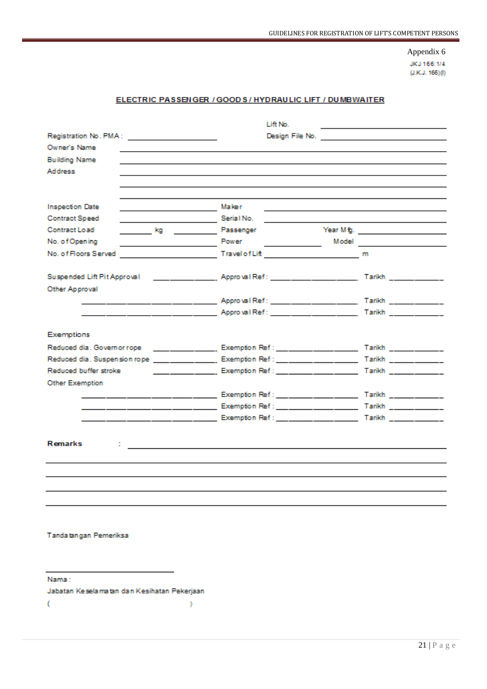JKJ 166:1/4  $(LKJ. 166)(0)$ 

#### ELECTRIC PASSENGER / GOOD S / HYDRAULIC LIFT / DUMBWAITER

|                                              | Lift No.                                                                                                             | the control of the control of the control of the control of the control of |
|----------------------------------------------|----------------------------------------------------------------------------------------------------------------------|----------------------------------------------------------------------------|
| Registration No. PMA: ______________________ |                                                                                                                      |                                                                            |
| Owner's Name                                 |                                                                                                                      |                                                                            |
| <b>Building Name</b>                         |                                                                                                                      |                                                                            |
| Address                                      |                                                                                                                      |                                                                            |
|                                              |                                                                                                                      |                                                                            |
|                                              |                                                                                                                      |                                                                            |
| <b>Inspection Date</b>                       |                                                                                                                      | <u> 1989 - Johann Stoff, amerikansk politiker (d. 1989)</u>                |
| <b>Contract Speed</b>                        |                                                                                                                      |                                                                            |
| Contract Load                                | <b>Example 2</b> Rassenger                                                                                           | Year M fg.                                                                 |
| No. of Opening                               | <b>Power</b><br><u>and the state of the state</u>                                                                    |                                                                            |
| No. of Floors Served                         |                                                                                                                      |                                                                            |
|                                              |                                                                                                                      |                                                                            |
| Other Approval                               |                                                                                                                      |                                                                            |
|                                              | ___ ____ _____ ____ ____ ______ Approval Ref : ____ ____ _______________ Tarikh _____________                        |                                                                            |
|                                              |                                                                                                                      |                                                                            |
|                                              |                                                                                                                      |                                                                            |
| Exemptions                                   |                                                                                                                      |                                                                            |
|                                              |                                                                                                                      |                                                                            |
|                                              |                                                                                                                      |                                                                            |
|                                              |                                                                                                                      |                                                                            |
| Other Exemption                              |                                                                                                                      |                                                                            |
|                                              |                                                                                                                      |                                                                            |
|                                              | ____ _____ _____ _____ ________ Exemption Ref : ___ _____ ______________ Tarikh _____________                        |                                                                            |
|                                              |                                                                                                                      |                                                                            |
|                                              |                                                                                                                      |                                                                            |
| <b>Remarks</b>                               |                                                                                                                      |                                                                            |
|                                              | <u> 1980 - Jan James Santan, masjid a shekara ta 1980 - An tsara ta 1980 - An tsara ta 1980 - An tsara ta 1980 -</u> |                                                                            |
|                                              |                                                                                                                      |                                                                            |
|                                              |                                                                                                                      |                                                                            |
|                                              |                                                                                                                      |                                                                            |
|                                              |                                                                                                                      |                                                                            |
|                                              |                                                                                                                      |                                                                            |

Tandatangan Pemeriksa

Nama:

Jabatan Keselamatan dan Kesihatan Pekerjaan

 $\lambda$ 

 $\overline{\mathbf{C}}$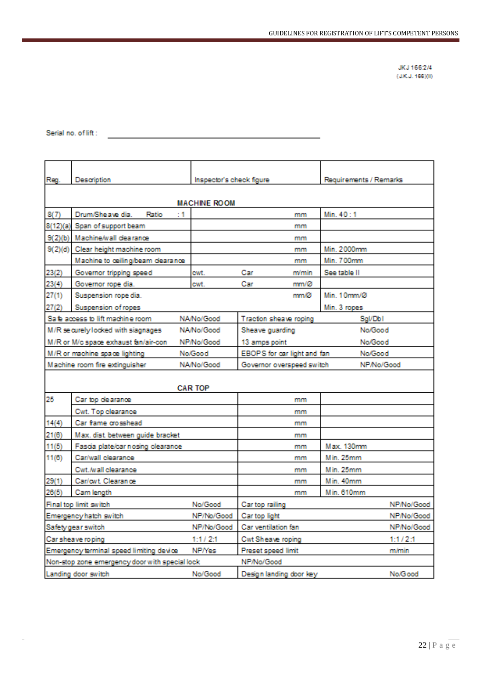JKJ 166:2/4  $(400.1, 166)(0)$ 

#### Serial no. of lift:

 $\sim$ 

the control of the control of the control of

| Reg.                                                                           | Description                                    | Inspector's check figure |                             |       | Requirements / Remarks |            |
|--------------------------------------------------------------------------------|------------------------------------------------|--------------------------|-----------------------------|-------|------------------------|------------|
| <b>MACHINE ROOM</b>                                                            |                                                |                          |                             |       |                        |            |
| 8(7)                                                                           | Drum/Sheave dia.<br>: 1<br>Ratio               |                          |                             | mm    | Min. 40:1              |            |
|                                                                                | 8(12)(a) Span of support beam                  |                          |                             | mm    |                        |            |
|                                                                                | 9(2)(b) Machine/wall dearance                  |                          |                             | mm    |                        |            |
|                                                                                | 9(2)(d) Clear height machine room              |                          |                             | mm    | Min. 2000mm            |            |
|                                                                                | Machine to ceiling/beam dearance               |                          |                             | mm    | Min. 700mm             |            |
| 23(2)                                                                          | Governor tripping speed                        | cwt.                     | Car                         | m/min | See table II           |            |
| 23(4)                                                                          | Governor rope dia.                             | cwt.                     | Car                         | mm/Ø  |                        |            |
| 27(1)                                                                          | Suspension rope dia.                           |                          |                             | mm/Ø  | Min. 10mm/Ø            |            |
| 27(2)                                                                          | Suspension of ropes                            |                          |                             |       | Min. 3 ropes           |            |
|                                                                                | Sa fe access to lift machine room              | NA/No/Good               | Traction sheave roping      |       | <b>Sgl/DbI</b>         |            |
|                                                                                | M/R securely locked with siagnages             | NA/No/Good               | Sheave guarding             |       | No/Good                |            |
| M/R or M/c space exhaust fan/air-con<br>13 amps point<br>NP/No/Good<br>No/Good |                                                |                          |                             |       |                        |            |
|                                                                                | M/R or machine space lighting                  | No/Good                  | EBOPS for car light and fan |       | No/Good                |            |
|                                                                                | Machine room fire extinguisher                 | NA/No/Good               | Governor overspeed switch   |       | NP/No/Good             |            |
|                                                                                |                                                | <b>CAR TOP</b>           |                             |       |                        |            |
| 25                                                                             | Car top dearance                               |                          |                             | mm    |                        |            |
|                                                                                | Cwt. Top clearance                             |                          |                             | mm    |                        |            |
| 14(4)                                                                          | Car frame crosshead                            |                          |                             | mm    |                        |            |
| 21(6)                                                                          | Max. dist. between guide bracket               |                          |                             | mm    |                        |            |
| 11(5)                                                                          | Fascia plate/car nosing clearance              |                          |                             | mm    | Max. 130mm             |            |
| 11(6)                                                                          | Car/wall clearance                             |                          |                             | mm    | Min. 25mm              |            |
|                                                                                | Cwt./wall clearance                            |                          |                             | mm    | Min. 25mm              |            |
| 29(1)                                                                          | Car/owt. Clearance                             |                          |                             | mm    | Min. 40mm              |            |
| 26(5)                                                                          | Cam length                                     |                          |                             | mm    | Min. 610mm             |            |
|                                                                                | Final top limit switch                         | No/Good                  | Car top railing             |       |                        | NP/No/Good |
|                                                                                | Emergency hatch switch                         | NP/No/Good               | Car top light               |       |                        | NP/No/Good |
|                                                                                | Safety gear switch                             | NP/No/Good               | Car ventilation fan         |       |                        | NP/No/Good |
| Car sheave roping<br>1:1/2:1                                                   |                                                | Cwt Sheave roping        |                             |       | 1:1/2:1                |            |
|                                                                                | Emergency terminal speed limiting device       | <b>NP/Yes</b>            | Preset speed limit          |       |                        | m/min      |
|                                                                                | Non-stop zone emergency door with special lock |                          | NP/No/Good                  |       |                        |            |
|                                                                                | Landing door switch                            | No/Good                  | Design landing door key     |       |                        | No/Good    |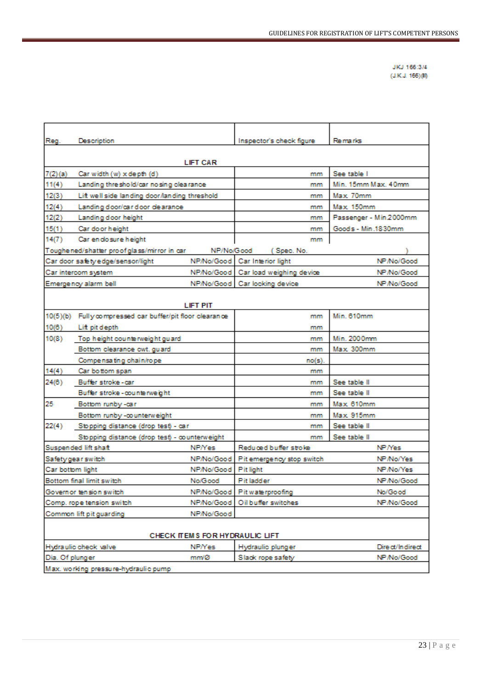JKJ 166:3/4  $(LKJ. 166)(0)$ 

| Reg.             | <b>Description</b>                                       |                      | Inspector's check figure             | Remarks                |  |  |
|------------------|----------------------------------------------------------|----------------------|--------------------------------------|------------------------|--|--|
|                  | <b>LIFT CAR</b>                                          |                      |                                      |                        |  |  |
| 7(2)(a)          | Car width (w) x depth (d)                                |                      | mm                                   | See table I            |  |  |
| 11(4)            | Landing threshold/car nosing clearance                   |                      | mm                                   | Min. 15mm Max. 40mm    |  |  |
| 12(3)            | Lift well side landing door landing threshold            |                      | mm                                   | Max 70mm               |  |  |
| 12(4)            | Landing door/car door dearance                           |                      | mm                                   | Max 150mm              |  |  |
| 12(2)            | Landing door height                                      |                      | mm                                   | Passenger - Min.2000mm |  |  |
| 15(1)            | Car door height                                          |                      | mm                                   | Goods - Min.1830mm     |  |  |
| 14(7)            | Car en do sure height                                    |                      | mm                                   |                        |  |  |
|                  | Toughened/shatter proof glass/mirror in car              | NP/No/Good           | (Spec. No.                           |                        |  |  |
|                  | Car door safety edge/sensor/light                        |                      | NP/No/Good Car Interior light        | NP/No/Good             |  |  |
|                  | Car intercom system                                      |                      | NP/No/Good Car load weighing device  | NP/No/Good             |  |  |
|                  | Emergency alarm bell                                     |                      | NP/No/Good   Car locking device      | NP/No/Good             |  |  |
|                  |                                                          |                      |                                      |                        |  |  |
|                  |                                                          | <b>LIFT PIT</b>      |                                      |                        |  |  |
|                  | 10(5)(b) Fully compressed car buffer/pit floor clearance |                      | mm                                   | Min. 610mm             |  |  |
| 10(6)            | Lift pit depth                                           |                      | mm                                   |                        |  |  |
| 10(8)            | Top height counterweight guard                           |                      | mm                                   | Min. 2000mm            |  |  |
|                  | Bottom clearance cwt. guard                              |                      | mm                                   | Max. 300mm             |  |  |
|                  | Compensating chain/rope                                  |                      | no(s).                               |                        |  |  |
| 14(4)            | Car bottom span                                          |                      | mm                                   |                        |  |  |
| 24(6)            | Buffer stroke-car                                        |                      | mm                                   | See table II           |  |  |
|                  | Buffer stroke - counterweight                            |                      | mm                                   | See table II           |  |  |
| 25               | Bottom runby -car                                        |                      | mm                                   | Max 610mm              |  |  |
|                  | Bottom runby -counterweight                              |                      | mm                                   | Max 915mm              |  |  |
| 22(4)            | Stopping distance (drop test) - car                      |                      | mm                                   | See table II           |  |  |
|                  | Stopping distance (drop test) - counterweight            |                      | mm                                   | See table II           |  |  |
|                  | Suspended lift shaft                                     | <b>NP/Yes</b>        | Reduced buffer stroke                | NP/Yes                 |  |  |
|                  | Safety gear switch                                       |                      | NP/No/Good Pit emergency stop switch | NP/No/Yes              |  |  |
| Car bottom light |                                                          | NP/No/Good Pit light |                                      | NP/No/Yes              |  |  |
|                  | Bottom final limit switch                                | No/Good              | Pit ladder                           | NP/No/Good             |  |  |
|                  | Governor tension switch                                  |                      | NP/No/Good Pit waterproofing         | No/Good                |  |  |
|                  | Comp. rope tension switch                                |                      | NP/No/Good   Oil buffer switches     | NP/No/Good             |  |  |
|                  | Common lift pit guarding                                 | NP/No/Good           |                                      |                        |  |  |
|                  | CHECK ITEMS FOR HYDRAULIC LIFT                           |                      |                                      |                        |  |  |
|                  | Hydraulic check valve                                    | NP/Yes               | Hydraulic plunger                    | Direct/Indirect        |  |  |
| Dia. Of plunger  |                                                          | mm/Ø                 | Slack rope safety                    | NP/No/Good             |  |  |
|                  | Max. working pressure-hydraulic pump                     |                      |                                      |                        |  |  |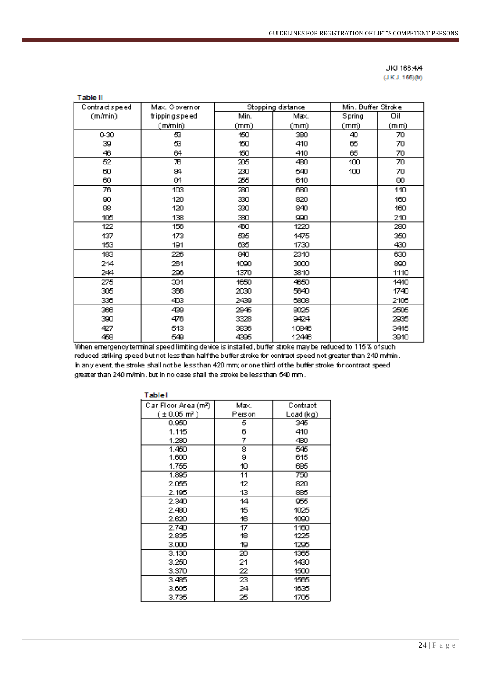| JKJ 166,444     |  |
|-----------------|--|
| (J.K.J. 166)(M) |  |

| Table II      |               |      |                   |                    |      |
|---------------|---------------|------|-------------------|--------------------|------|
| Contractspeed | Max. Governor |      | Stopping distance | Min. Buffer Stroke |      |
| (m/min)       | trippingspeed | Min. | Max.              | Spring             | Oil  |
|               | (m/min)       | (mm) | (mm)              | (mm)               | (mm) |
| 0-30          | ස             | 150. | 380               | 40.                | 70   |
| 39            | ස             | 150  | 410               | 65                 | 70   |
| 46            | 64            | 150  | 410               | 65                 | 70   |
| 52            | 76            | 205  | 480               | 100                | 70   |
| 60            | 84            | 230  | 540               | 100                | 70   |
| 69            | 94            | 255  | 610               |                    | 90.  |
| 76            | 103           | 280  | 690               |                    | 110  |
| 90.           | 120           | 330  | 820               |                    | 160  |
| 98.           | 120           | 330  | 840               |                    | 160  |
| 105           | 138           | 390  | 990.              |                    | 210  |
| 122           | 156           | 460  | 1220              |                    | 280  |
| 137           | 173           | සිති | 1475              |                    | 350  |
| 153           | 191           | 635  | 1730              |                    | 430  |
| 183           | 226           | 840  | 2310              |                    | 630  |
| 214           | 261           | 1090 | 3000              |                    | 890  |
| 244           | 296           | 1370 | 3810              |                    | 1110 |
| 275           | 331           | 1650 | 4650              |                    | 1410 |
| 305           | 366           | 2030 | 5640              |                    | 1740 |
| 336           | 403           | 2439 | 6808              |                    | 2105 |
| 366           | 439           | 2845 | 8025              |                    | 2505 |
| 390           | 476           | 3328 | 9424              |                    | 2935 |
| 427           | 513           | 3836 | 10846             |                    | 3415 |
| 458           | 549           | 4395 | 12446             |                    | 3910 |

When emergency terminal speed limiting device is installed, buffer stroke may be reduced to 115% of such reduced striking speed but not less than half the buffer stroke for contract speed not greater than 240 m/min. h any event, the stroke shall not be less than 420 mm; or one third of the buffer stroke for contract speed greater than 240 m/min, but in no case shall the stroke be less than 540 mm.

| Table I                  |        |           |
|--------------------------|--------|-----------|
| Car Floor Area (m?)      | Max.   | Contract  |
| $(\pm 0.05 \text{ m}^2)$ | Person | Load (kg) |
| 0.950                    | 5      | 345       |
| 1.115                    | 6      | 410       |
| 1.280                    | 7      | 480       |
| 1.450                    | 8      | 546       |
| 1.600                    | 9      | 615       |
| 1.755                    | 10     | 685       |
| 1.895                    | 11     | 750       |
| 2.055                    | 12     | 820       |
| 2.195                    | 13     | 885       |
| 2.340                    | 14     | 955       |
| 2.480                    | 15     | 1025      |
| 2.620                    | 16     | 1090      |
| 2.740                    | 17     | 1160      |
| 2.835                    | 18     | 1225      |
| 3.000                    | 19     | 1295      |
| 3.130                    | 20     | 1365      |
| 3.250                    | 21     | 1430      |
| 3.370                    | 22     | 1500      |
| 3.485                    | 23     | 1565      |
| 3.605                    | 24     | 1635      |
| 3.735                    | 25     | 1705      |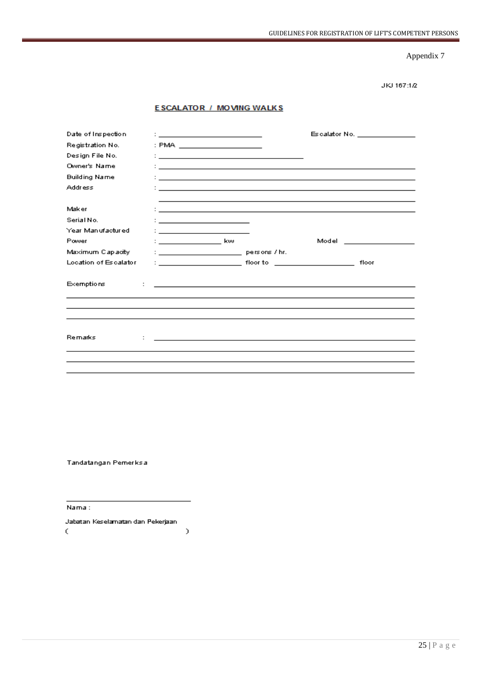JKJ 167:1/2

#### **ESCALATOR / MOVING WALKS**

| Date of Inspection    | th <u>e companies of the companies of the companies</u>                                     |                                                                                                                                                                                                                                      | Escalator No. <b>Escalator</b> No.           |
|-----------------------|---------------------------------------------------------------------------------------------|--------------------------------------------------------------------------------------------------------------------------------------------------------------------------------------------------------------------------------------|----------------------------------------------|
| Registration No.      | : PMA ______________________                                                                |                                                                                                                                                                                                                                      |                                              |
| Design File No.       |                                                                                             | <u> : a construction de la construction de la construction de la construction de la construction de la construction de la construction de la construction de la construction de la construction de la construction de la constru</u> |                                              |
| Owner's Name          |                                                                                             | <u> 1989 - Johann Johann Stoff, deutscher Stoffen und der Stoffen und der Stoffen und der Stoffen und der Stoffen</u>                                                                                                                |                                              |
| <b>Building Name</b>  |                                                                                             | <u>: In the second contract of the second contract of the second contract of the second contract of the second contract of the second contract of the second contract of the second contract of the second contract of the secon</u> |                                              |
| <b>Address</b>        |                                                                                             |                                                                                                                                                                                                                                      |                                              |
|                       |                                                                                             |                                                                                                                                                                                                                                      |                                              |
| Maker                 |                                                                                             | <u> Andreas Andreas Andreas Andreas Andreas Andreas Andreas Andreas Andreas Andreas Andreas Andreas Andreas Andr</u>                                                                                                                 |                                              |
| Serial No.            | <u> 1989 - Jan Barbara Barbara, manazarta politik (h. 1989).</u>                            |                                                                                                                                                                                                                                      |                                              |
| Year Manufactured     | $\mathbf{1}_{\{1,2,3,4,5\}}$ . The contract of the contract of $\mathbf{1}_{\{1,2,3,4,5\}}$ |                                                                                                                                                                                                                                      |                                              |
| Power                 | : kw                                                                                        |                                                                                                                                                                                                                                      | Model in the contract of the contract of the |
| Maximum Capacity      |                                                                                             |                                                                                                                                                                                                                                      |                                              |
| Location of Escalator |                                                                                             |                                                                                                                                                                                                                                      | floor                                        |
| <b>Exemptions</b>     |                                                                                             | <u> 1989 - Jan Samuel Barbara, martin a shekara tsarin 1989 - Andrea Samuel Barbara, marka a shekara tsarin 1980</u>                                                                                                                 |                                              |
|                       |                                                                                             |                                                                                                                                                                                                                                      |                                              |
| Remarks               |                                                                                             | <u> 1989 - Andrea Santa Andrea Andrea Santa Andrea Andrea Andrea Andrea Andrea Andrea Andrea Andrea Andrea Andre</u>                                                                                                                 |                                              |
|                       |                                                                                             |                                                                                                                                                                                                                                      |                                              |
|                       |                                                                                             |                                                                                                                                                                                                                                      |                                              |
|                       |                                                                                             |                                                                                                                                                                                                                                      |                                              |

Tandatangan Pemerksa

Nama :

Jabatan Keselamatan dan Pekerjaan  $\zeta$  $\,$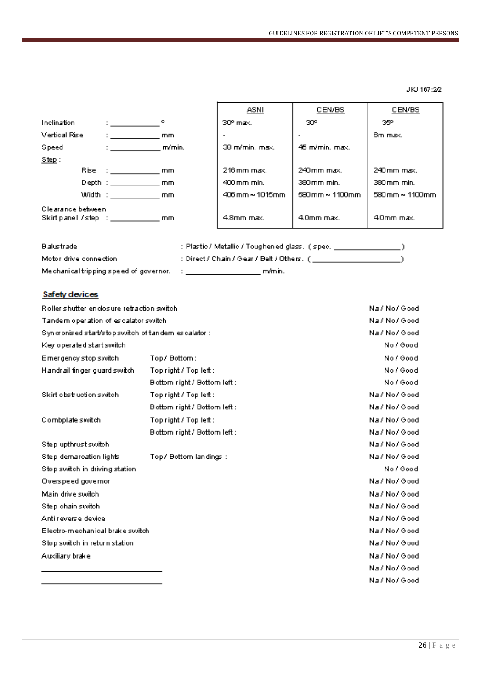JKJ 167:22

|                   |                            |        | ASNI                   | CEN/BS                              | CEN/BS                                      |
|-------------------|----------------------------|--------|------------------------|-------------------------------------|---------------------------------------------|
| Inclination       |                            |        | 30° max.               | 30°                                 | 35°                                         |
| Vertical Rise     | $1 - 2 - 1$                | mm     |                        |                                     | 6m max.                                     |
| Speed             |                            | m/min. | 38 m/min. max.         | 46 m/min. max.                      |                                             |
| Step:             |                            |        |                        |                                     |                                             |
|                   | Rise : ________________ mm |        | $216$ mm max.          | 240 mm max.                         | 240 mm max.                                 |
|                   | Depth : mm                 |        | 400 mm min.            | 380 mm min.                         | 380 mm min.                                 |
|                   | Width: mm                  |        | $406$ mm $\sim$ 1015mm | $580 \,\rm{mm} \sim 1100 \,\rm{mm}$ | $580 \,\mathrm{mm} \sim 1100 \,\mathrm{mm}$ |
| Clearance between |                            |        | 4.8mm max.             | 4.0mm max.                          | 4.0mm max.                                  |

| Balustrade                             | : Plastic / Metallic / Toughened glass. ( spec. ) |
|----------------------------------------|---------------------------------------------------|
| Motor drive connection                 | : Direct / Chain / Gear / Belt / Others. (1988)   |
| Mechanical tripping speed of governor. | m/min.                                            |

#### Safety devices

| Roller shutter endosure retraction switch.          |                              | Na / No / Good |
|-----------------------------------------------------|------------------------------|----------------|
| Tandem operation of escalator switch                | Na / No / Good               |                |
| Syncronised start/stop switch of tandem escalator : |                              | Na / No / Good |
| Key operated start switch                           |                              | No / Good      |
| Emergency stop switch                               | Top/Bottom:                  | No / Good      |
| Handrail finger guard switch                        | Top right / Top left:        | No / Good      |
|                                                     | Bottom right / Bottom left : | No / Good      |
| Skirt obstruction switch                            | Top right / Top left :       | Na / No / Good |
|                                                     | Bottom right / Bottom left : | Na / No / Good |
| Combplate switch                                    | Top right / Top left :       | Na / No / Good |
|                                                     | Bottom right / Bottom left:  | Na / No / Good |
| Step upthrust switch                                |                              | Na / No / Good |
| Step demarcation lights                             | Top/ Bottom landings :       | Na / No / Good |
| Stop switch in driving station                      |                              | No / Good      |
| Overspeed governor                                  |                              | Na / No / Good |
| Main drive switch                                   |                              | Na / No / Good |
| Step chain switch                                   |                              | Na / No / Good |
| Anti reverse device                                 |                              | Na / No / Good |
| Electro-mechanical brake switch                     |                              | Na / No / Good |
| Stop switch in return station                       |                              | Na / No / Good |
| Auxiliary brake                                     |                              | Na / No / Good |
|                                                     |                              | Na / No / Good |
|                                                     |                              | Na / No / Good |